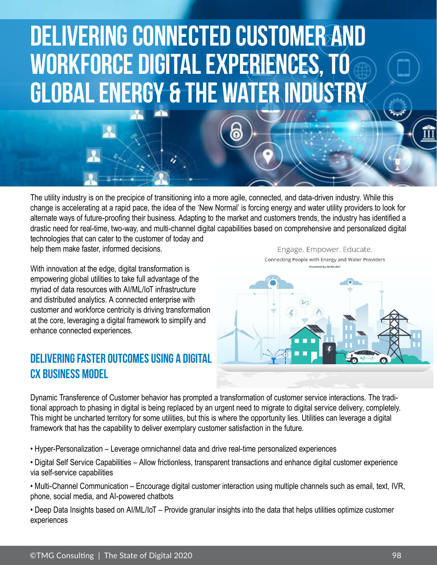

The utility industry is on the precipice of transitioning into a more agile, connected, and data-driven industry. While this change is accelerating at a rapid pace, the idea of the 'New Normal' is forcing energy and water utility providers to look for alternate ways of future-proofing their business. Adapting to the market and customers trends, the industry has identified a drastic need for real-time, two-way, and multi-channel digital capabilities based on comprehensive and personalized digital technologies that can cater to the customer of today and help them make faster, informed decisions.

6

With innovation at the edge, digital transformation is empowering global utilities to take full advantage of the myriad of data resources with AI/ML/IoT infrastructure and distributed analytics. A connected enterprise with customer and workforce centricity is driving transformation at the core, leveraging a digital framework to simplify and enhance connected experiences.

## DELIVERING FASTER OUTCOMES USING A DIGITAL CX BUSINESS MODEL

Engage. Empower. Educate. Connecting People with Energy and Water Providers Powered by Al/ML/IoT



Dynamic Transference of Customer behavior has prompted a transformation of customer service interactions. The traditional approach to phasing in digital is being replaced by an urgent need to migrate to digital service delivery, completely. This might be uncharted territory for some utilities, but this is where the opportunity lies. Utilities can leverage a digital framework that has the capability to deliver exemplary customer satisfaction in the future.

• Hyper-Personalization – Leverage omnichannel data and drive real-time personalized experiences

- Digital Self Service Capabilities Allow frictionless, transparent transactions and enhance digital customer experience via self-service capabilities
- Multi-Channel Communication Encourage digital customer interaction using multiple channels such as email, text, IVR, phone, social media, and AI-powered chatbots

• Deep Data Insights based on AI/ML/IoT – Provide granular insights into the data that helps utilities optimize customer experiences